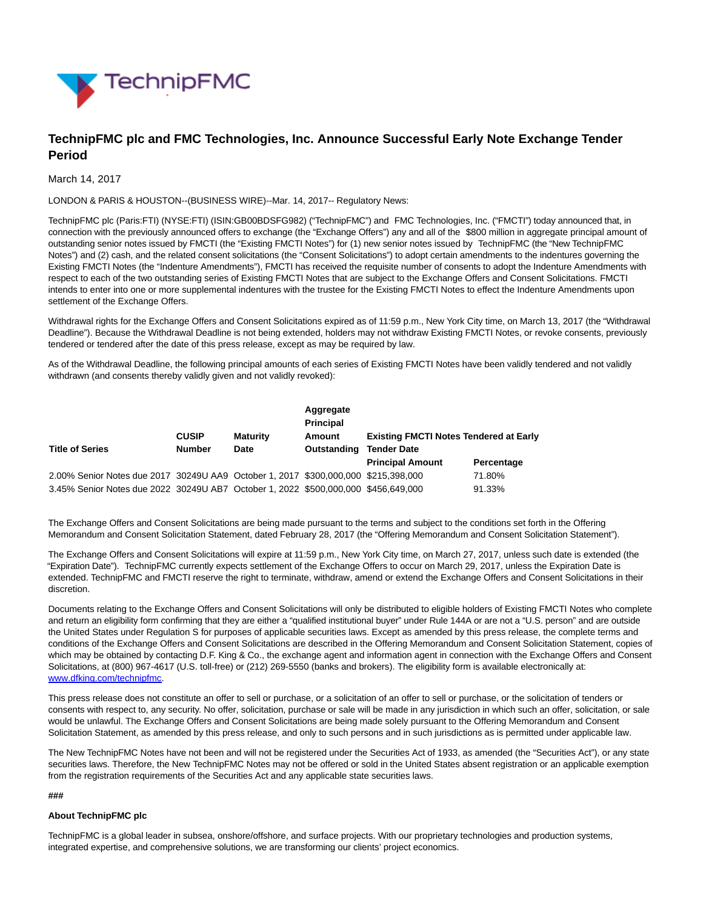

# **TechnipFMC plc and FMC Technologies, Inc. Announce Successful Early Note Exchange Tender Period**

## March 14, 2017

LONDON & PARIS & HOUSTON--(BUSINESS WIRE)--Mar. 14, 2017-- Regulatory News:

TechnipFMC plc (Paris:FTI) (NYSE:FTI) (ISIN:GB00BDSFG982) ("TechnipFMC") and FMC Technologies, Inc. ("FMCTI") today announced that, in connection with the previously announced offers to exchange (the "Exchange Offers") any and all of the \$800 million in aggregate principal amount of outstanding senior notes issued by FMCTI (the "Existing FMCTI Notes") for (1) new senior notes issued by TechnipFMC (the "New TechnipFMC Notes") and (2) cash, and the related consent solicitations (the "Consent Solicitations") to adopt certain amendments to the indentures governing the Existing FMCTI Notes (the "Indenture Amendments"), FMCTI has received the requisite number of consents to adopt the Indenture Amendments with respect to each of the two outstanding series of Existing FMCTI Notes that are subject to the Exchange Offers and Consent Solicitations. FMCTI intends to enter into one or more supplemental indentures with the trustee for the Existing FMCTI Notes to effect the Indenture Amendments upon settlement of the Exchange Offers.

Withdrawal rights for the Exchange Offers and Consent Solicitations expired as of 11:59 p.m., New York City time, on March 13, 2017 (the "Withdrawal Deadline"). Because the Withdrawal Deadline is not being extended, holders may not withdraw Existing FMCTI Notes, or revoke consents, previously tendered or tendered after the date of this press release, except as may be required by law.

As of the Withdrawal Deadline, the following principal amounts of each series of Existing FMCTI Notes have been validly tendered and not validly withdrawn (and consents thereby validly given and not validly revoked):

|                                                                                    |               |                 | Aggregate<br><b>Principal</b> |                                                                     |            |
|------------------------------------------------------------------------------------|---------------|-----------------|-------------------------------|---------------------------------------------------------------------|------------|
|                                                                                    | <b>CUSIP</b>  | <b>Maturity</b> | Amount                        | <b>Existing FMCTI Notes Tendered at Early</b><br><b>Tender Date</b> |            |
| <b>Title of Series</b>                                                             | <b>Number</b> | Date            | Outstanding                   |                                                                     |            |
|                                                                                    |               |                 |                               | <b>Principal Amount</b>                                             | Percentage |
| 2.00% Senior Notes due 2017 30249U AA9 October 1, 2017 \$300,000,000 \$215,398,000 |               |                 |                               |                                                                     | 71.80%     |
| 3.45% Senior Notes due 2022 30249U AB7 October 1, 2022 \$500,000,000 \$456,649,000 |               |                 |                               |                                                                     | 91.33%     |

The Exchange Offers and Consent Solicitations are being made pursuant to the terms and subject to the conditions set forth in the Offering Memorandum and Consent Solicitation Statement, dated February 28, 2017 (the "Offering Memorandum and Consent Solicitation Statement").

The Exchange Offers and Consent Solicitations will expire at 11:59 p.m., New York City time, on March 27, 2017, unless such date is extended (the "Expiration Date"). TechnipFMC currently expects settlement of the Exchange Offers to occur on March 29, 2017, unless the Expiration Date is extended. TechnipFMC and FMCTI reserve the right to terminate, withdraw, amend or extend the Exchange Offers and Consent Solicitations in their discretion.

Documents relating to the Exchange Offers and Consent Solicitations will only be distributed to eligible holders of Existing FMCTI Notes who complete and return an eligibility form confirming that they are either a "qualified institutional buyer" under Rule 144A or are not a "U.S. person" and are outside the United States under Regulation S for purposes of applicable securities laws. Except as amended by this press release, the complete terms and conditions of the Exchange Offers and Consent Solicitations are described in the Offering Memorandum and Consent Solicitation Statement, copies of which may be obtained by contacting D.F. King & Co., the exchange agent and information agent in connection with the Exchange Offers and Consent Solicitations, at (800) 967-4617 (U.S. toll-free) or (212) 269-5550 (banks and brokers). The eligibility form is available electronically at: [www.dfking.com/technipfmc.](http://cts.businesswire.com/ct/CT?id=smartlink&url=http%3A%2F%2Fwww.dfking.com%2Ftechnipfmc&esheet=51525334&newsitemid=20170313006487&lan=en-US&anchor=www.dfking.com%2Ftechnipfmc&index=1&md5=870aad9a6576bcb69803cbaa624dd328)

This press release does not constitute an offer to sell or purchase, or a solicitation of an offer to sell or purchase, or the solicitation of tenders or consents with respect to, any security. No offer, solicitation, purchase or sale will be made in any jurisdiction in which such an offer, solicitation, or sale would be unlawful. The Exchange Offers and Consent Solicitations are being made solely pursuant to the Offering Memorandum and Consent Solicitation Statement, as amended by this press release, and only to such persons and in such jurisdictions as is permitted under applicable law.

The New TechnipFMC Notes have not been and will not be registered under the Securities Act of 1933, as amended (the "Securities Act"), or any state securities laws. Therefore, the New TechnipFMC Notes may not be offered or sold in the United States absent registration or an applicable exemption from the registration requirements of the Securities Act and any applicable state securities laws.

### **###**

## **About TechnipFMC plc**

TechnipFMC is a global leader in subsea, onshore/offshore, and surface projects. With our proprietary technologies and production systems, integrated expertise, and comprehensive solutions, we are transforming our clients' project economics.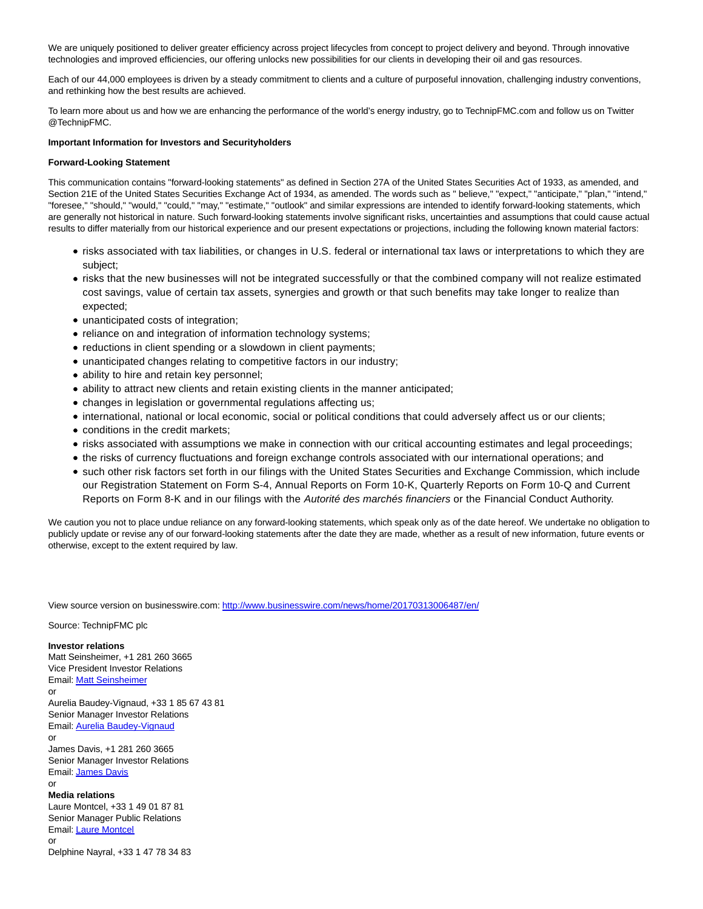We are uniquely positioned to deliver greater efficiency across project lifecycles from concept to project delivery and beyond. Through innovative technologies and improved efficiencies, our offering unlocks new possibilities for our clients in developing their oil and gas resources.

Each of our 44,000 employees is driven by a steady commitment to clients and a culture of purposeful innovation, challenging industry conventions, and rethinking how the best results are achieved.

To learn more about us and how we are enhancing the performance of the world's energy industry, go to TechnipFMC.com and follow us on Twitter @TechnipFMC.

#### **Important Information for Investors and Securityholders**

#### **Forward-Looking Statement**

This communication contains "forward-looking statements" as defined in Section 27A of the United States Securities Act of 1933, as amended, and Section 21E of the United States Securities Exchange Act of 1934, as amended. The words such as " believe," "expect," "anticipate," "plan," "intend," "foresee," "should," "would," "could," "may," "estimate," "outlook" and similar expressions are intended to identify forward-looking statements, which are generally not historical in nature. Such forward-looking statements involve significant risks, uncertainties and assumptions that could cause actual results to differ materially from our historical experience and our present expectations or projections, including the following known material factors:

- risks associated with tax liabilities, or changes in U.S. federal or international tax laws or interpretations to which they are subject;
- risks that the new businesses will not be integrated successfully or that the combined company will not realize estimated cost savings, value of certain tax assets, synergies and growth or that such benefits may take longer to realize than expected;
- unanticipated costs of integration;
- reliance on and integration of information technology systems;
- reductions in client spending or a slowdown in client payments;
- unanticipated changes relating to competitive factors in our industry;
- ability to hire and retain key personnel;
- ability to attract new clients and retain existing clients in the manner anticipated;
- changes in legislation or governmental regulations affecting us;
- international, national or local economic, social or political conditions that could adversely affect us or our clients;
- conditions in the credit markets;
- risks associated with assumptions we make in connection with our critical accounting estimates and legal proceedings;
- the risks of currency fluctuations and foreign exchange controls associated with our international operations; and
- such other risk factors set forth in our filings with the United States Securities and Exchange Commission, which include our Registration Statement on Form S-4, Annual Reports on Form 10-K, Quarterly Reports on Form 10-Q and Current Reports on Form 8-K and in our filings with the Autorité des marchés financiers or the Financial Conduct Authority.

We caution you not to place undue reliance on any forward-looking statements, which speak only as of the date hereof. We undertake no obligation to publicly update or revise any of our forward-looking statements after the date they are made, whether as a result of new information, future events or otherwise, except to the extent required by law.

View source version on businesswire.com:<http://www.businesswire.com/news/home/20170313006487/en/>

Source: TechnipFMC plc

**Investor relations** Matt Seinsheimer, +1 281 260 3665 Vice President Investor Relations Email[: Matt Seinsheimer](mailto:InvestorRelations@technipfmc.com) or Aurelia Baudey-Vignaud, +33 1 85 67 43 81 Senior Manager Investor Relations Email[: Aurelia Baudey-Vignaud](mailto:abaudeyvignaud@technipfmc.com) or James Davis, +1 281 260 3665 Senior Manager Investor Relations Email[: James Davis](mailto:InvestorRelations@technipfmc.com) or **Media relations** Laure Montcel, +33 1 49 01 87 81 Senior Manager Public Relations Email[: Laure Montcel](mailto:media@technipfmc.com)

Delphine Nayral, +33 1 47 78 34 83

or